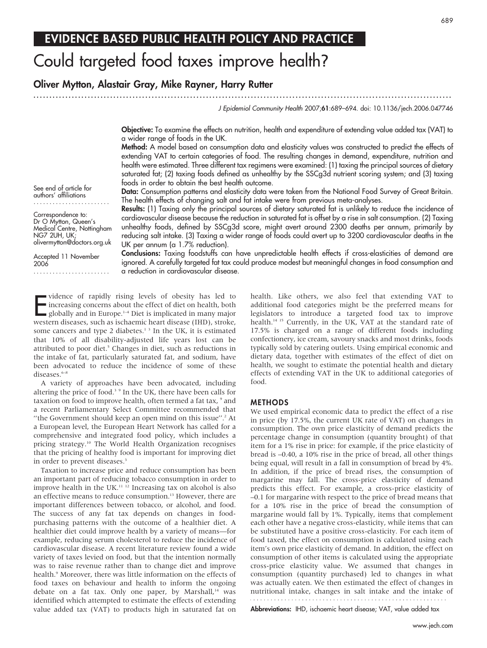## EVIDENCE BASED PUBLIC HEALTH POLICY AND PRACTICE

# Could targeted food taxes improve health?

## Oliver Mytton, Alastair Gray, Mike Rayner, Harry Rutter

............................................................... ............................................................... .....

J Epidemiol Community Health 2007;61:689–694. doi: 10.1136/jech.2006.047746

Objective: To examine the effects on nutrition, health and expenditure of extending value added tax (VAT) to a wider range of foods in the UK.

Method: A model based on consumption data and elasticity values was constructed to predict the effects of extending VAT to certain categories of food. The resulting changes in demand, expenditure, nutrition and health were estimated. Three different tax regimens were examined: (1) taxing the principal sources of dietary saturated fat; (2) taxing foods defined as unhealthy by the SSCg3d nutrient scoring system; and (3) taxing foods in order to obtain the best health outcome.

Data: Consumption patterns and elasticity data were taken from the National Food Survey of Great Britain. The health effects of changing salt and fat intake were from previous meta-analyses.

Results: (1) Taxing only the principal sources of dietary saturated fat is unlikely to reduce the incidence of cardiovascular disease because the reduction in saturated fat is offset by a rise in salt consumption. (2) Taxing unhealthy foods, defined by SSCg3d score, might avert around 2300 deaths per annum, primarily by reducing salt intake. (3) Taxing a wider range of foods could avert up to 3200 cardiovascular deaths in the UK per annum (a 1.7% reduction).

olivermytton@doctors.org.uk Accepted 11 November 2006

See end of article for authors' affiliations ........................ Correspondence to: Dr O Mytton, Queen's Medical Centre, Nottingham

NG7 2UH, UK;

........................

Conclusions: Taxing foodstuffs can have unpredictable health effects if cross-elasticities of demand are ignored. A carefully targeted fat tax could produce modest but meaningful changes in food consumption and a reduction in cardiovascular disease.

Vidence of rapidly rising levels of obesity has led to<br>increasing concerns about the effect of diet on health, both<br>globally and in Europe.<sup>1-4</sup> Diet is implicated in many major<br>western diseases, such as ischaemic heart di vidence of rapidly rising levels of obesity has led to  $\blacksquare$  increasing concerns about the effect of diet on health, both globally and in Europe. $1-4$  Diet is implicated in many major some cancers and type 2 diabetes.<sup>13</sup> In the UK, it is estimated that 10% of all disability-adjusted life years lost can be attributed to poor diet.<sup>5</sup> Changes in diet, such as reductions in the intake of fat, particularly saturated fat, and sodium, have been advocated to reduce the incidence of some of these diseases.<sup>6–8</sup>

A variety of approaches have been advocated, including altering the price of food.3 9 In the UK, there have been calls for taxation on food to improve health, often termed a fat tax,  $9$  and a recent Parliamentary Select Committee recommended that "the Government should keep an open mind on this issue".<sup>2</sup> At a European level, the European Heart Network has called for a comprehensive and integrated food policy, which includes a pricing strategy.10 The World Health Organization recognises that the pricing of healthy food is important for improving diet in order to prevent diseases.<sup>3</sup>

Taxation to increase price and reduce consumption has been an important part of reducing tobacco consumption in order to improve health in the UK.<sup>11 12</sup> Increasing tax on alcohol is also an effective means to reduce consumption.<sup>13</sup> However, there are important differences between tobacco, or alcohol, and food. The success of any fat tax depends on changes in foodpurchasing patterns with the outcome of a healthier diet. A healthier diet could improve health by a variety of means—for example, reducing serum cholesterol to reduce the incidence of cardiovascular disease. A recent literature review found a wide variety of taxes levied on food, but that the intention normally was to raise revenue rather than to change diet and improve health.<sup>9</sup> Moreover, there was little information on the effects of food taxes on behaviour and health to inform the ongoing debate on a fat tax. Only one paper, by Marshall,<sup>14</sup> was identified which attempted to estimate the effects of extending value added tax (VAT) to products high in saturated fat on health. Like others, we also feel that extending VAT to additional food categories might be the preferred means for legislators to introduce a targeted food tax to improve health.<sup>14 15</sup> Currently, in the UK, VAT at the standard rate of 17.5% is charged on a range of different foods including confectionery, ice cream, savoury snacks and most drinks, foods typically sold by catering outlets. Using empirical economic and dietary data, together with estimates of the effect of diet on health, we sought to estimate the potential health and dietary effects of extending VAT in the UK to additional categories of food.

#### METHODS

We used empirical economic data to predict the effect of a rise in price (by 17.5%, the current UK rate of VAT) on changes in consumption. The own price elasticity of demand predicts the percentage change in consumption (quantity brought) of that item for a 1% rise in price: for example, if the price elasticity of bread is –0.40, a 10% rise in the price of bread, all other things being equal, will result in a fall in consumption of bread by 4%. In addition, if the price of bread rises, the consumption of margarine may fall. The cross-price elasticity of demand predicts this effect. For example, a cross-price elasticity of –0.1 for margarine with respect to the price of bread means that for a 10% rise in the price of bread the consumption of margarine would fall by 1%. Typically, items that complement each other have a negative cross-elasticity, while items that can be substituted have a positive cross-elasticity. For each item of food taxed, the effect on consumption is calculated using each item's own price elasticity of demand. In addition, the effect on consumption of other items is calculated using the appropriate cross-price elasticity value. We assumed that changes in consumption (quantity purchased) led to changes in what was actually eaten. We then estimated the effect of changes in nutritional intake, changes in salt intake and the intake of

Abbreviations: IHD, ischaemic heart disease; VAT, value added tax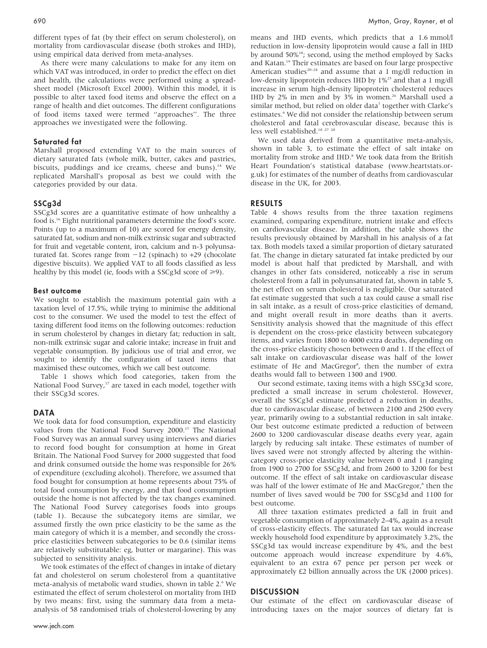different types of fat (by their effect on serum cholesterol), on mortality from cardiovascular disease (both strokes and IHD), using empirical data derived from meta-analyses.

As there were many calculations to make for any item on which VAT was introduced, in order to predict the effect on diet and health, the calculations were performed using a spreadsheet model (Microsoft Excel 2000). Within this model, it is possible to alter taxed food items and observe the effect on a range of health and diet outcomes. The different configurations of food items taxed were termed ''approaches''. The three approaches we investigated were the following.

## Saturated fat

Marshall proposed extending VAT to the main sources of dietary saturated fats (whole milk, butter, cakes and pastries, biscuits, puddings and ice creams, cheese and buns).<sup>14</sup> We replicated Marshall's proposal as best we could with the categories provided by our data.

## SSCg3d

SSCg3d scores are a quantitative estimate of how unhealthy a food is.16 Eight nutritional parameters determine the food's score. Points (up to a maximum of 10) are scored for energy density, saturated fat, sodium and non-milk extrinsic sugar and subtracted for fruit and vegetable content, iron, calcium and n-3 polyunsaturated fat. Scores range from  $-12$  (spinach) to  $+29$  (chocolate digestive biscuits). We applied VAT to all foods classified as less healthy by this model (ie, foods with a SSCg3d score of  $\geq 9$ ).

#### Best outcome

We sought to establish the maximum potential gain with a taxation level of 17.5%, while trying to minimise the additional cost to the consumer. We used the model to test the effect of taxing different food items on the following outcomes: reduction in serum cholesterol by changes in dietary fat; reduction in salt, non-milk extrinsic sugar and calorie intake; increase in fruit and vegetable consumption. By judicious use of trial and error, we sought to identify the configuration of taxed items that maximised these outcomes, which we call best outcome.

Table 1 shows which food categories, taken from the National Food Survey,<sup>17</sup> are taxed in each model, together with their SSCg3d scores.

#### DATA

We took data for food consumption, expenditure and elasticity values from the National Food Survey 2000.<sup>17</sup> The National Food Survey was an annual survey using interviews and diaries to record food bought for consumption at home in Great Britain. The National Food Survey for 2000 suggested that food and drink consumed outside the home was responsible for 26% of expenditure (excluding alcohol). Therefore, we assumed that food bought for consumption at home represents about 75% of total food consumption by energy, and that food consumption outside the home is not affected by the tax changes examined. The National Food Survey categorises foods into groups (table 1). Because the subcategory items are similar, we assumed firstly the own price elasticity to be the same as the main category of which it is a member, and secondly the crossprice elasticities between subcategories to be 0.6 (similar items are relatively substitutable: eg, butter or margarine). This was subjected to sensitivity analysis.

We took estimates of the effect of changes in intake of dietary fat and cholesterol on serum cholesterol from a quantitative meta-analysis of metabolic ward studies, shown in table 2.6 We estimated the effect of serum cholesterol on mortality from IHD by two means: first, using the summary data from a metaanalysis of 58 randomised trials of cholesterol-lowering by any means and IHD events, which predicts that a 1.6 mmol/l reduction in low-density lipoprotein would cause a fall in IHD by around 50%18; second, using the method employed by Sacks and Katan.19 Their estimates are based on four large prospective American studies<sup>20–24</sup> and assume that a 1 mg/dl reduction in low-density lipoprotein reduces IHD by 1%25 and that a 1 mg/dl increase in serum high-density lipoprotein cholesterol reduces IHD by 2% in men and by 3% in women.<sup>26</sup> Marshall used a similar method, but relied on older data<sup>7</sup> together with Clarke's estimates.<sup>6</sup> We did not consider the relationship between serum cholesterol and fatal cerebrovascular disease, because this is less well established.18 27 28

We used data derived from a quantitative meta-analysis, shown in table 3, to estimate the effect of salt intake on mortality from stroke and IHD.<sup>8</sup> We took data from the British Heart Foundation's statistical database (www.heartstats.org.uk) for estimates of the number of deaths from cardiovascular disease in the UK, for 2003.

#### RESULTS

Table 4 shows results from the three taxation regimens examined, comparing expenditure, nutrient intake and effects on cardiovascular disease. In addition, the table shows the results previously obtained by Marshall in his analysis of a fat tax. Both models taxed a similar proportion of dietary saturated fat. The change in dietary saturated fat intake predicted by our model is about half that predicted by Marshall, and with changes in other fats considered, noticeably a rise in serum cholesterol from a fall in polyunsaturated fat, shown in table 5, the net effect on serum cholesterol is negligible. Our saturated fat estimate suggested that such a tax could cause a small rise in salt intake, as a result of cross-price elasticities of demand, and might overall result in more deaths than it averts. Sensitivity analysis showed that the magnitude of this effect is dependent on the cross-price elasticity between subcategory items, and varies from 1800 to 4000 extra deaths, depending on the cross-price elasticity chosen between 0 and 1. If the effect of salt intake on cardiovascular disease was half of the lower estimate of He and MacGregor<sup>8</sup>, then the number of extra deaths would fall to between 1300 and 1900.

Our second estimate, taxing items with a high SSCg3d score, predicted a small increase in serum cholesterol. However, overall the SSCg3d estimate predicted a reduction in deaths, due to cardiovascular disease, of between 2100 and 2500 every year, primarily owing to a substantial reduction in salt intake. Our best outcome estimate predicted a reduction of between 2600 to 3200 cardiovascular disease deaths every year, again largely by reducing salt intake. These estimates of number of lives saved were not strongly affected by altering the withincategory cross-price elasticity value between 0 and 1 (ranging from 1900 to 2700 for SSCg3d, and from 2600 to 3200 for best outcome. If the effect of salt intake on cardiovascular disease was half of the lower estimate of He and MacGregor,<sup>8</sup> then the number of lives saved would be 700 for SSCg3d and 1100 for best outcome.

All three taxation estimates predicted a fall in fruit and vegetable consumption of approximately 2–4%, again as a result of cross-elasticity effects. The saturated fat tax would increase weekly household food expenditure by approximately 3.2%, the SSCg3d tax would increase expenditure by 4%, and the best outcome approach would increase expenditure by 4.6%, equivalent to an extra 67 pence per person per week or approximately £2 billion annually across the UK (2000 prices).

## **DISCUSSION**

Our estimate of the effect on cardiovascular disease of introducing taxes on the major sources of dietary fat is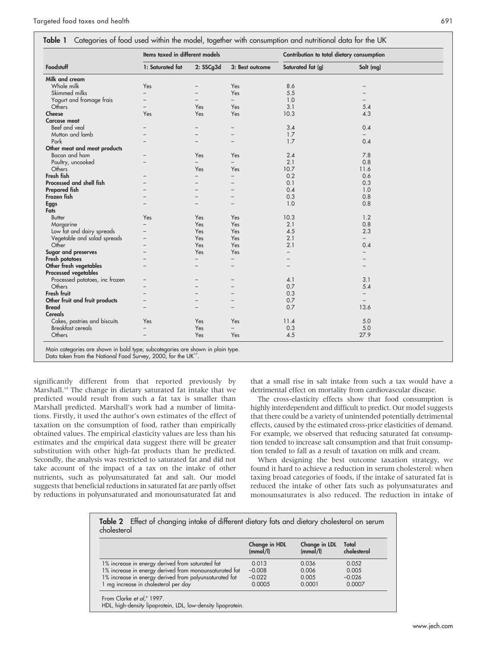| Foodstuff<br>Milk and cream    |                          | Items taxed in different models |                          |                   | Contribution to total dietary consumption |
|--------------------------------|--------------------------|---------------------------------|--------------------------|-------------------|-------------------------------------------|
|                                | 1: Saturated fat         | 2: SSCg3d                       | 3: Best outcome          | Saturated fat (g) | Salt (mg)                                 |
|                                |                          |                                 |                          |                   |                                           |
| Whole milk                     | Yes                      |                                 | Yes                      | 8.6               |                                           |
| Skimmed milks                  |                          |                                 | Yes                      | 5.5               |                                           |
| Yogurt and fromage frais       | $\overline{\phantom{0}}$ |                                 | $\overline{\phantom{0}}$ | 1.0               |                                           |
| Others                         | $\equiv$                 | Yes                             | Yes                      | 3.1               | 5.4                                       |
| Cheese                         | Yes                      | Yes                             | Yes                      | 10.3              | 4.3                                       |
| <b>Carcase meat</b>            |                          |                                 |                          |                   |                                           |
| Beef and veal                  |                          |                                 |                          | 3.4               | 0.4                                       |
| Mutton and lamb                |                          |                                 |                          | 1.7               | -                                         |
| Pork                           |                          |                                 |                          | 1.7               | 0.4                                       |
| Other meat and meat products   |                          |                                 |                          |                   |                                           |
| Bacon and ham                  |                          | Yes                             | Yes                      | 2.4               | 7.8                                       |
| Poultry, uncooked              |                          | $\overline{\phantom{0}}$        | $-$                      | 2.1               | 0.8                                       |
| Others                         |                          | Yes                             | Yes                      | 10.7              | 11.6                                      |
| Fresh fish                     |                          | $\overline{\phantom{0}}$        | $\equiv$                 | 0.2               | 0.6                                       |
| Processed and shell fish       |                          |                                 |                          | 0.1               | 0.3                                       |
| <b>Prepared fish</b>           |                          |                                 | $\overline{\phantom{0}}$ | 0.4               | 1.0                                       |
| Frozen fish                    |                          |                                 |                          | 0.3               | 0.8                                       |
| <b>Eggs</b>                    |                          |                                 |                          | 1.0               | 0.8                                       |
| Fats                           |                          |                                 |                          |                   |                                           |
| <b>Butter</b>                  | Yes                      | Yes                             | Yes                      | 10.3              | 1.2                                       |
| Margarine                      |                          | Yes                             | Yes                      | 2.1               | 0.8                                       |
| Low fat and dairy spreads      |                          | Yes                             | Yes                      | 4.5               | 2.3                                       |
| Vegetable and salad spreads    |                          | Yes                             | Yes                      | 2.1               | $-$                                       |
| Other                          | $\overline{\phantom{0}}$ | Yes                             | Yes                      | 2.1               | 0.4                                       |
| Sugar and preserves            |                          | Yes                             | Yes                      | -                 |                                           |
| Fresh potatoes                 |                          | $\overline{\phantom{0}}$        | $\overline{a}$           |                   |                                           |
| Other fresh vegetables         |                          |                                 |                          |                   |                                           |
| Processed vegetables           |                          |                                 |                          |                   |                                           |
| Processed potatoes, inc frozen |                          |                                 |                          | 4.1               | 3.1                                       |
| Others                         |                          |                                 |                          | 0.7               | 5.4                                       |
| Fresh fruit                    |                          |                                 |                          | 0.3               | -                                         |
| Other fruit and fruit products |                          |                                 |                          | 0.7               | $-$                                       |
| <b>Bread</b>                   |                          |                                 |                          | 0.7               | 13.6                                      |
| <b>Cereals</b>                 |                          |                                 |                          |                   |                                           |
| Cakes, pastries and biscuits   | Yes                      | Yes                             | Yes                      | 11.4              | 5.0                                       |
| <b>Breakfast cereals</b>       | $\overline{\phantom{0}}$ | Yes                             | $\overline{\phantom{0}}$ | 0.3               | 5.0                                       |
| Others                         | $\overline{a}$           | Yes                             | Yes                      | 4.5               | 27.9                                      |

egories are shown in bold type; subcategories are shown in plain type.

Data taken from the National Food Survey, 2000, for the UK<sup>17</sup>

significantly different from that reported previously by Marshall.<sup>14</sup> The change in dietary saturated fat intake that we predicted would result from such a fat tax is smaller than Marshall predicted. Marshall's work had a number of limitations. Firstly, it used the author's own estimates of the effect of taxation on the consumption of food, rather than empirically obtained values. The empirical elasticity values are less than his estimates and the empirical data suggest there will be greater substitution with other high-fat products than he predicted. Secondly, the analysis was restricted to saturated fat and did not take account of the impact of a tax on the intake of other nutrients, such as polyunsaturated fat and salt. Our model suggests that beneficial reductions in saturated fat are partly offset by reductions in polyunsaturated and monounsaturated fat and

that a small rise in salt intake from such a tax would have a detrimental effect on mortality from cardiovascular disease.

The cross-elasticity effects show that food consumption is highly interdependent and difficult to predict. Our model suggests that there could be a variety of unintended potentially detrimental effects, caused by the estimated cross-price elasticities of demand. For example, we observed that reducing saturated fat consumption tended to increase salt consumption and that fruit consumption tended to fall as a result of taxation on milk and cream.

When designing the best outcome taxation strategy, we found it hard to achieve a reduction in serum cholesterol: when taxing broad categories of foods, if the intake of saturated fat is reduced the intake of other fats such as polyunsaturates and monounsaturates is also reduced. The reduction in intake of

|                                                        | Change in HDL<br>(mmol/l) | Change in LDL<br>(mmol/l) | Total<br>cholesterol |
|--------------------------------------------------------|---------------------------|---------------------------|----------------------|
| 1% increase in energy derived from saturated fat       | 0.013                     | 0.036                     | 0.052                |
| 1% increase in energy derived from monounsaturated fat | $-0.008$                  | 0.006                     | 0.005                |
| 1% increase in energy derived from polyunsaturated fat | $-0.022$                  | 0.005                     | $-0.026$             |
| 1 mg increase in cholesterol per day                   | 0.0005                    | 0.0001                    | 0.0007               |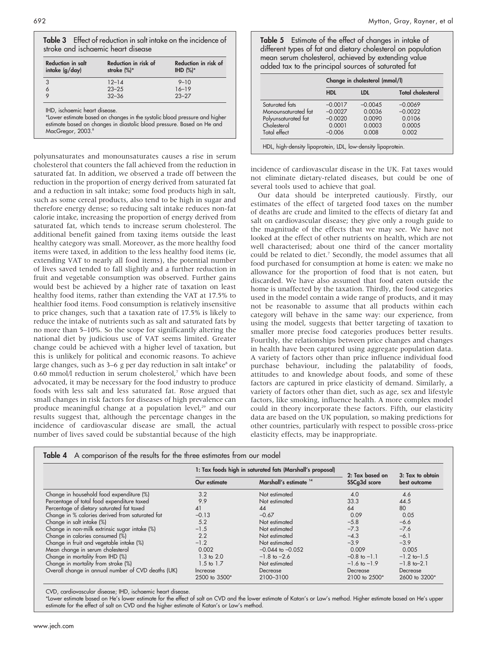| <b>Reduction in salt</b><br>intake (g/day) | Reduction in risk of<br>stroke (%)* | Reduction in risk of<br>IHD $(%)^*$ |
|--------------------------------------------|-------------------------------------|-------------------------------------|
| 3                                          | $12 - 14$                           | $9 - 10$                            |
| 6                                          | $23 - 25$                           | $16 - 19$                           |
| $\circ$                                    | $32 - 36$                           | $23 - 27$                           |

IHD, ischaemic heart disease.

\*Lower estimate based on changes in the systolic blood pressure and higher estimate based on changes in diastolic blood pressure. Based on He and MacGregor, 2003.

polyunsaturates and monounsaturates causes a rise in serum cholesterol that counters the fall achieved from the reduction in saturated fat. In addition, we observed a trade off between the reduction in the proportion of energy derived from saturated fat and a reduction in salt intake; some food products high in salt, such as some cereal products, also tend to be high in sugar and therefore energy dense; so reducing salt intake reduces non-fat calorie intake, increasing the proportion of energy derived from saturated fat, which tends to increase serum cholesterol. The additional benefit gained from taxing items outside the least healthy category was small. Moreover, as the more healthy food items were taxed, in addition to the less healthy food items (ie, extending VAT to nearly all food items), the potential number of lives saved tended to fall slightly and a further reduction in fruit and vegetable consumption was observed. Further gains would best be achieved by a higher rate of taxation on least healthy food items, rather than extending the VAT at 17.5% to healthier food items. Food consumption is relatively insensitive to price changes, such that a taxation rate of 17.5% is likely to reduce the intake of nutrients such as salt and saturated fats by no more than 5–10%. So the scope for significantly altering the national diet by judicious use of VAT seems limited. Greater change could be achieved with a higher level of taxation, but this is unlikely for political and economic reasons. To achieve large changes, such as  $3-6$  g per day reduction in salt intake<sup>8</sup> or 0.60 mmol/l reduction in serum cholesterol,<sup>7</sup> which have been advocated, it may be necessary for the food industry to produce foods with less salt and less saturated fat. Rose argued that small changes in risk factors for diseases of high prevalence can produce meaningful change at a population level,<sup>29</sup> and our results suggest that, although the percentage changes in the incidence of cardiovascular disease are small, the actual number of lives saved could be substantial because of the high Table 5 Estimate of the effect of changes in intake of different types of fat and dietary cholesterol on population mean serum cholesterol, achieved by extending value added tax to the principal sources of saturated fat

|                     | Change in cholesterol (mmol/l) |           |                          |
|---------------------|--------------------------------|-----------|--------------------------|
|                     | <b>HDL</b>                     | LDI.      | <b>Total cholesterol</b> |
| Saturated fats      | $-0.0017$                      | $-0.0045$ | $-0.0069$                |
| Monounsaturated fat | $-0.0027$                      | 0.0036    | $-0.0022$                |
| Polyunsaturated fat | $-0.0020$                      | 0.0090    | 0.0106                   |
| Cholesterol         | 0.0001                         | 0.0003    | 0.0005                   |
| Total effect        | $-0.006$                       | 0.008     | 0.002                    |

incidence of cardiovascular disease in the UK. Fat taxes would not eliminate dietary-related diseases, but could be one of several tools used to achieve that goal.

Our data should be interpreted cautiously. Firstly, our estimates of the effect of targeted food taxes on the number of deaths are crude and limited to the effects of dietary fat and salt on cardiovascular disease; they give only a rough guide to the magnitude of the effects that we may see. We have not looked at the effect of other nutrients on health, which are not well characterised; about one third of the cancer mortality could be related to diet.<sup>7</sup> Secondly, the model assumes that all food purchased for consumption at home is eaten: we make no allowance for the proportion of food that is not eaten, but discarded. We have also assumed that food eaten outside the home is unaffected by the taxation. Thirdly, the food categories used in the model contain a wide range of products, and it may not be reasonable to assume that all products within each category will behave in the same way: our experience, from using the model, suggests that better targeting of taxation to smaller more precise food categories produces better results. Fourthly, the relationships between price changes and changes in health have been captured using aggregate population data. A variety of factors other than price influence individual food purchase behaviour, including the palatability of foods, attitudes to and knowledge about foods, and some of these factors are captured in price elasticity of demand. Similarly, a variety of factors other than diet, such as age, sex and lifestyle factors, like smoking, influence health. A more complex model could in theory incorporate these factors. Fifth, our elasticity data are based on the UK population, so making predictions for other countries, particularly with respect to possible cross-price elasticity effects, may be inappropriate.

|                                                    |                           | 1: Tax foods high in saturated fats (Marshall's proposal) | 2: Tax based on<br>SSCq3d score | 3: Tax to obtain<br>best outcome |
|----------------------------------------------------|---------------------------|-----------------------------------------------------------|---------------------------------|----------------------------------|
|                                                    | Our estimate              | Marshall's estimate <sup>14</sup>                         |                                 |                                  |
| Change in household food expenditure (%)           | 3.2                       | Not estimated                                             | 4.0                             | 4.6                              |
| Percentage of total food expenditure taxed         | 9.9                       | Not estimated                                             | 33.3                            | 44.5                             |
| Percentage of dietary saturated fat taxed          | 41                        | 44                                                        | 64                              | 80                               |
| Change in % calories derived from saturated fat    | $-0.13$                   | $-0.67$                                                   | 0.09                            | 0.05                             |
| Change in salt intake (%)                          | 5.2                       | Not estimated                                             | $-5.8$                          | $-6.6$                           |
| Change in non-milk extrinsic sugar intake (%)      | $-1.5$                    | Not estimated                                             | $-7.3$                          | $-7.6$                           |
| Change in calories consumed (%)                    | 2.2                       | Not estimated                                             | $-4.3$                          | $-6.1$                           |
| Change in fruit and vegetable intake (%)           | $-1.2$                    | Not estimated                                             | $-3.9$                          | $-3.9$                           |
| Mean change in serum cholesterol                   | 0.002                     | $-0.044$ to $-0.052$                                      | 0.009                           | 0.005                            |
| Change in mortality from IHD (%)                   | $1.3 \text{ to } 2.0$     | $-1.8$ to $-2.6$                                          | $-0.8$ to $-1.1$                | $-1.2$ to $-1.5$                 |
| Change in mortality from stroke (%)                | $1.5 \text{ to } 1.7$     | Not estimated                                             | $-1.6$ to $-1.9$                | $-1.8$ to $-2.1$                 |
| Overall change in annual number of CVD deaths (UK) | Increase<br>2500 to 3500* | Decrease<br>2100-3100                                     | Decrease<br>2100 to 2500*       | Decrease<br>2600 to 3200*        |

CVD, cardiovascular disease; IHD, ischaemic heart disease.

\*Lower estimate based on He's lower estimate for the effect of salt on CVD and the lower estimate of Katan's or Law's method. Higher estimate based on He's upper estimate for the effect of salt on CVD and the higher estimate of Katan's or Law's method.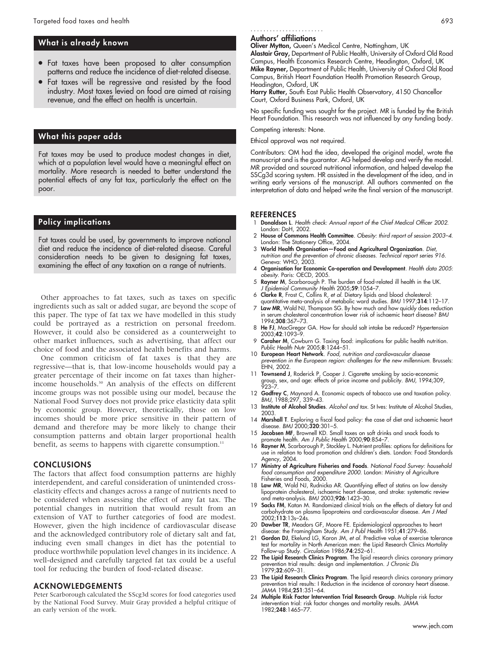## What is already known

- Fat taxes have been proposed to alter consumption patterns and reduce the incidence of diet-related disease.
- Fat taxes will be regressive and resisted by the food industry. Most taxes levied on food are aimed at raising revenue, and the effect on health is uncertain.

## What this paper adds

Fat taxes may be used to produce modest changes in diet, which at a population level would have a meaningful effect on mortality. More research is needed to better understand the potential effects of any fat tax, particularly the effect on the poor.

## Policy implications

Fat taxes could be used, by governments to improve national diet and reduce the incidence of diet-related disease. Careful consideration needs to be given to designing fat taxes, examining the effect of any taxation on a range of nutrients.

Other approaches to fat taxes, such as taxes on specific ingredients such as salt or added sugar, are beyond the scope of this paper. The type of fat tax we have modelled in this study could be portrayed as a restriction on personal freedom. However, it could also be considered as a counterweight to other market influences, such as advertising, that affect our choice of food and the associated health benefits and harms.

One common criticism of fat taxes is that they are regressive—that is, that low-income households would pay a greater percentage of their income on fat taxes than higherincome households.30 An analysis of the effects on different income groups was not possible using our model, because the National Food Survey does not provide price elasticity data split by economic group. However, theoretically, those on low incomes should be more price sensitive in their pattern of demand and therefore may be more likely to change their consumption patterns and obtain larger proportional health benefit, as seems to happens with cigarette consumption.<sup>11</sup>

#### CONCLUSIONS

The factors that affect food consumption patterns are highly interdependent, and careful consideration of unintended crosselasticity effects and changes across a range of nutrients need to be considered when assessing the effect of any fat tax. The potential changes in nutrition that would result from an extension of VAT to further categories of food are modest. However, given the high incidence of cardiovascular disease and the acknowledged contributory role of dietary salt and fat, inducing even small changes in diet has the potential to produce worthwhile population level changes in its incidence. A well-designed and carefully targeted fat tax could be a useful tool for reducing the burden of food-related disease.

## ACKNOWLEDGEMENTS

Peter Scarborough calculated the SScg3d scores for food categories used by the National Food Survey. Muir Gray provided a helpful critique of an early version of the work.

#### Authors' affiliations .......................

Oliver Mytton, Queen's Medical Centre, Nottingham, UK

Alastair Gray, Department of Public Health, University of Oxford Old Road Campus, Health Economics Research Centre, Headington, Oxford, UK Mike Rayner, Department of Public Health, University of Oxford Old Road Campus, British Heart Foundation Health Promotion Research Group, Headington, Oxford, UK

Harry Rutter, South East Public Health Observatory, 4150 Chancellor Court, Oxford Business Park, Oxford, UK

No specific funding was sought for the project. MR is funded by the British Heart Foundation. This research was not influenced by any funding body.

### Competing interests: None.

Ethical approval was not required.

Contributors: OM had the idea, developed the original model, wrote the manuscript and is the guarantor. AG helped develop and verify the model. MR provided and sourced nutritional information, and helped develop the SSCg3d scoring system. HR assisted in the development of the idea, and in writing early versions of the manuscript. All authors commented on the interpretation of data and helped write the final version of the manuscript.

#### **REFERENCES**

- 1 Donaldson L. Health check: Annual report of the Chief Medical Officer 2002. London: DoH, 2002.
- 2 House of Commons Health Committee. Obesity: third report of session 2003–4. London: The Stationery Office, 2004.
- 3 World Health Organisation—Food and Agricultural Organization. Diet, nutrition and the prevention of chronic diseases. Technical report series 916. Geneva: WHO, 2003.
- 4 Organisation for Economic Co-operation and Development. Health data 2005: obesity. Paris: OECD, 2005.
- 5 Rayner M, Scarborough P. The burden of food-related ill health in the UK. J Epidemiol Community Health 2005;59:1054–7.
- 6 Clarke R, Frost C, Collins R, et al. Dietary lipids and blood cholesterol: quantitative meta-analysis of metabolic ward studies. BMJ 1997;314:112–17.
- 7 Law MR, Wald NJ, Thompson SG. By how much and how quickly does reduction in serum cholesterol concentration lower risk of ischaemic heart disease? BMJ 1994;308:367–73.
- 8 He FJ, MacGregor GA. How far should salt intake be reduced? Hypertension 2003;42:1093–9.
- 9 Caraher M, Cowburn G. Taxing food: implications for public health nutrition. Public Health Nutr 2005;8:1244–51.
- 10 European Heart Network. Food, nutrition and cardiovascular disease prevention in the European region: challenges for the new millennium. Brussels: EHN, 2002.<br>11 **Townsend J**, Roderick P, Cooper J. Cigarette smoking by socio-economic
- 11 Townsend J, Roderick P, Cooper J. Cigarette smoking by socio-economic group, sex, and age: effects of price income and publicity. BMJ, 1994;309, 923–7.
- 12 Godfrey C, Maynard A. Economic aspects of tobacco use and taxation policy. BMJ, 1988;297, 339–43.
- 13 Institute of Alcohol Studies. Alcohol and tax. St Ives: Institute of Alcohol Studies, 2003.
- 14 Marshall T. Exploring a fiscal food policy: the case of diet and ischaemic heart disease. BMJ 2000;320:301–5.
- 15 Jacobsen MF, Brownell KD. Small taxes on soft drinks and snack foods to promote health. Am J Public Health 2000;90:854-7.
- 16 Rayner M, Scarborough P, Stockley L. Nutrient profiles: options for definitions for use in relation to food promotion and children's diets. London: Food Standards Agency, 2004.
- 17 Ministry of Agriculture Fisheries and Foods. National Food Survey: household food consumption and expenditure 2000. London: Ministry of Agriculture Fisheries and Foods, 2000.
- 18 Law MR, Wald NJ, Rudnicka AR. Quantifying effect of statins on low density lipoprotein cholesterol, ischaemic heart disease, and stroke: systematic review and meta-analysis. BMJ 2003;926:1423–30.
- 19 Sacks FM, Katan M. Randomized clinical trials on the effects of dietary fat and carbohydrate on plasma lipoproteins and cardiovascular disease. Am J Med 2002;113:13s–24s.
- 20 Dawber TR, Meadors GF, Moore FE. Epidemiological approaches to heart disease: the Framingham Study. Am J Publ Health 1951;41:279–86.
- 21 **Gordon DJ**, Ekelund LG, Karon JM, et al. Predictive value of exercise tolerance test for mortality in North American men: the Lipid Research Clinics Mortality Follow-up Study. Circulation 1986;74:252–61.
- 22 The Lipid Research Clinics Program. The lipid research clinics coronary primary prevention trial results: design and implementation. J Chronic Dis 1979;32:609-31
- 23 **The Lipid Research Clinics Program**. The lipid research clinics coronary primary prevention trial results: I Reduction in the incidence of coronary heart disease. JAMA 1984;251:351–64.
- 24 Multiple Risk Factor Intervention Trial Research Group. Multiple risk factor intervention trial: risk factor changes and mortality results. JAMA 1982;248:1465–77.